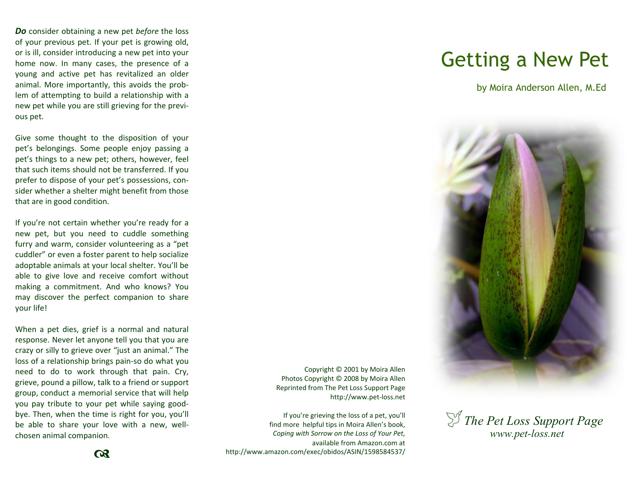*Do* consider obtaining a new pet *before* the loss of your previous pet. If your pet is growing old, or is ill, consider introducing a new pet into your home now. In many cases, the presence of a young and active pet has revitalized an older animal. More importantly, this avoids the problem of attempting to build a relationship with a new pet while you are still grieving for the previous pet.

Give some thought to the disposition of your pet's belongings. Some people enjoy passing a pet's things to a new pet; others, however, feel that such items should not be transferred. If you prefer to dispose of your pet's possessions, consider whether a shelter might benefit from those that are in good condition.

If you're not certain whether you're ready for a new pet, but you need to cuddle something furry and warm, consider volunteering as a "pet cuddler" or even a foster parent to help socialize adoptable animals at your local shelter. You'll be able to give love and receive comfort without making a commitment. And who knows? You may discover the perfect companion to share your life!

When a pet dies, grief is a normal and natural response. Never let anyone tell you that you are crazy or silly to grieve over "just an animal." The loss of a relationship brings pain-so do what you need to do to work through that pain. Cry, grieve, pound a pillow, talk to a friend or support group, conduct a memorial service that will help you pay tribute to your pet while saying goodbye. Then, when the time is right for you, you'll be able to share your love with a new, wellchosen animal companion.

Copyright © 2001 by Moira Allen Photos Copyright © 2008 by Moira Allen Reprinted from The Pet Loss Support Page http://www.pet-loss.net

If you're grieving the loss of a pet, you'll find more helpful tips in Moira Allen's book, *Coping with Sorrow on the Loss of Your Pet,*  available from Amazon.com at http://www.amazon.com/exec/obidos/ASIN/1598584537/

## Getting a New Pet

by Moira Anderson Allen, M.Ed